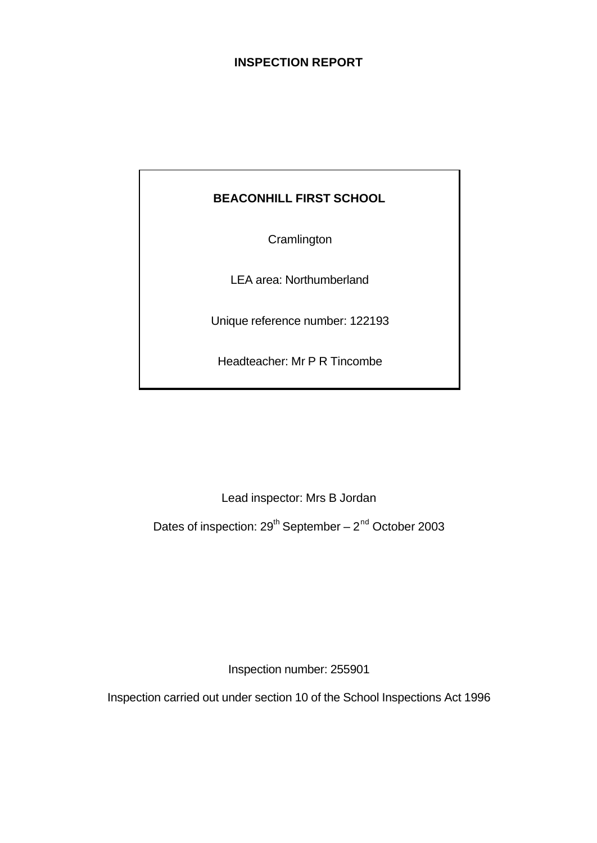# **INSPECTION REPORT**

# **BEACONHILL FIRST SCHOOL**

**Cramlington** 

LEA area: Northumberland

Unique reference number: 122193

Headteacher: Mr P R Tincombe

Lead inspector: Mrs B Jordan

Dates of inspection:  $29<sup>th</sup>$  September –  $2<sup>nd</sup>$  October 2003

Inspection number: 255901

Inspection carried out under section 10 of the School Inspections Act 1996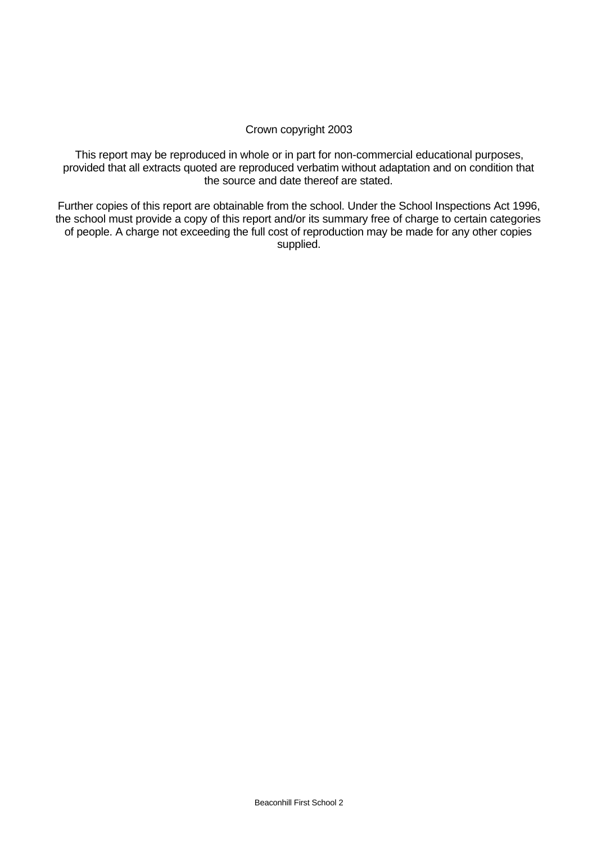# Crown copyright 2003

This report may be reproduced in whole or in part for non-commercial educational purposes, provided that all extracts quoted are reproduced verbatim without adaptation and on condition that the source and date thereof are stated.

Further copies of this report are obtainable from the school. Under the School Inspections Act 1996, the school must provide a copy of this report and/or its summary free of charge to certain categories of people. A charge not exceeding the full cost of reproduction may be made for any other copies supplied.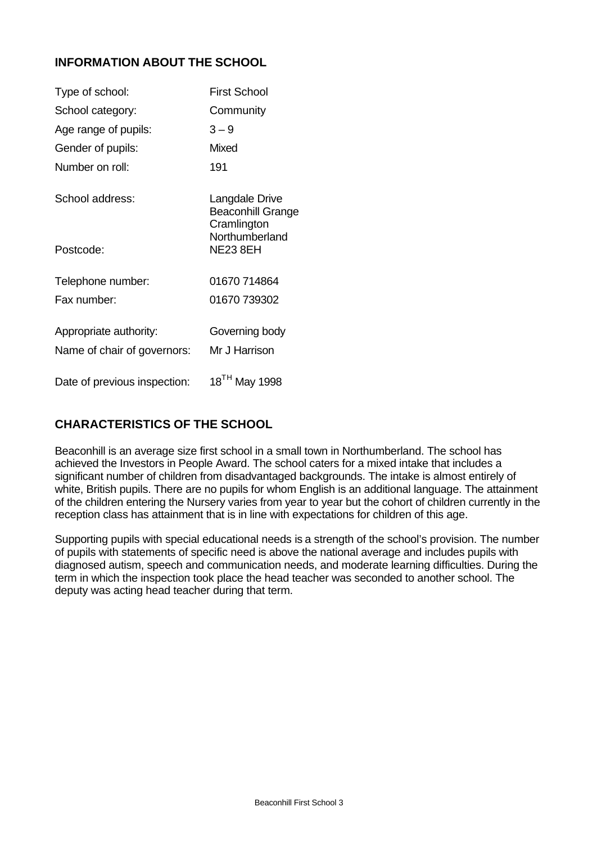# **INFORMATION ABOUT THE SCHOOL**

| Type of school:              | <b>First School</b>                                                         |
|------------------------------|-----------------------------------------------------------------------------|
| School category:             | Community                                                                   |
| Age range of pupils:         | $3 - 9$                                                                     |
| Gender of pupils:            | Mixed                                                                       |
| Number on roll:              | 191                                                                         |
| School address:              | Langdale Drive<br><b>Beaconhill Grange</b><br>Cramlington<br>Northumberland |
| Postcode:                    | <b>NE23 8EH</b>                                                             |
| Telephone number:            | 01670 714864                                                                |
| Fax number:                  | 01670 739302                                                                |
| Appropriate authority:       | Governing body                                                              |
| Name of chair of governors:  | Mr J Harrison                                                               |
| Date of previous inspection: | 18 <sup>TH</sup> May 1998                                                   |

# **CHARACTERISTICS OF THE SCHOOL**

Beaconhill is an average size first school in a small town in Northumberland. The school has achieved the Investors in People Award. The school caters for a mixed intake that includes a significant number of children from disadvantaged backgrounds. The intake is almost entirely of white, British pupils. There are no pupils for whom English is an additional language. The attainment of the children entering the Nursery varies from year to year but the cohort of children currently in the reception class has attainment that is in line with expectations for children of this age.

Supporting pupils with special educational needs is a strength of the school's provision. The number of pupils with statements of specific need is above the national average and includes pupils with diagnosed autism, speech and communication needs, and moderate learning difficulties. During the term in which the inspection took place the head teacher was seconded to another school. The deputy was acting head teacher during that term.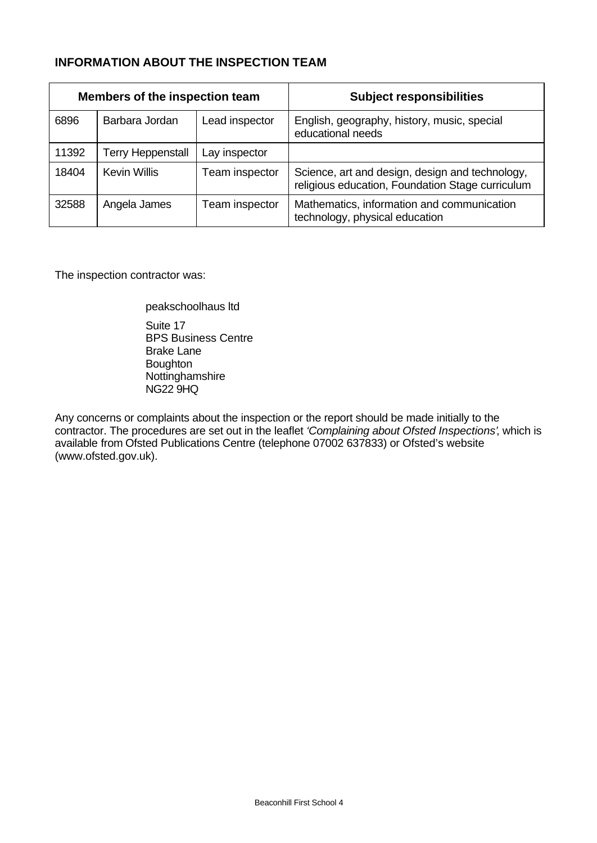# **INFORMATION ABOUT THE INSPECTION TEAM**

| Members of the inspection team |                          |                | <b>Subject responsibilities</b>                                                                     |
|--------------------------------|--------------------------|----------------|-----------------------------------------------------------------------------------------------------|
| 6896                           | Barbara Jordan           | Lead inspector | English, geography, history, music, special<br>educational needs                                    |
| 11392                          | <b>Terry Heppenstall</b> | Lay inspector  |                                                                                                     |
| 18404                          | <b>Kevin Willis</b>      | Team inspector | Science, art and design, design and technology,<br>religious education, Foundation Stage curriculum |
| 32588                          | Angela James             | Team inspector | Mathematics, information and communication<br>technology, physical education                        |

The inspection contractor was:

peakschoolhaus ltd Suite 17 BPS Business Centre Brake Lane **Boughton** Nottinghamshire NG22 9HQ

Any concerns or complaints about the inspection or the report should be made initially to the contractor. The procedures are set out in the leaflet *'Complaining about Ofsted Inspections'*, which is available from Ofsted Publications Centre (telephone 07002 637833) or Ofsted's website (www.ofsted.gov.uk).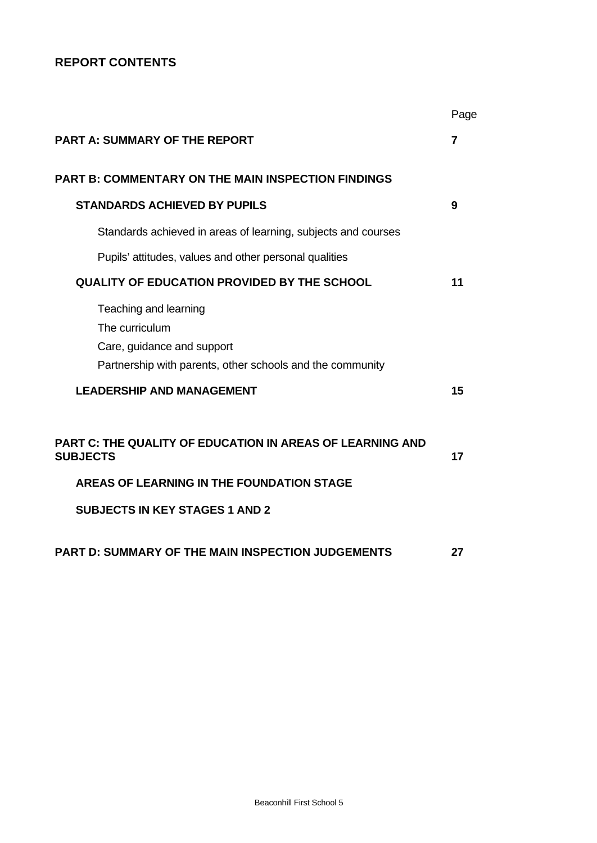# **REPORT CONTENTS**

|                                                                                                                                                                           | Page |
|---------------------------------------------------------------------------------------------------------------------------------------------------------------------------|------|
| <b>PART A: SUMMARY OF THE REPORT</b>                                                                                                                                      | 7    |
| <b>PART B: COMMENTARY ON THE MAIN INSPECTION FINDINGS</b>                                                                                                                 |      |
| <b>STANDARDS ACHIEVED BY PUPILS</b>                                                                                                                                       | 9    |
| Standards achieved in areas of learning, subjects and courses                                                                                                             |      |
| Pupils' attitudes, values and other personal qualities                                                                                                                    |      |
| <b>QUALITY OF EDUCATION PROVIDED BY THE SCHOOL</b>                                                                                                                        | 11   |
| Teaching and learning<br>The curriculum<br>Care, guidance and support<br>Partnership with parents, other schools and the community                                        |      |
| <b>LEADERSHIP AND MANAGEMENT</b>                                                                                                                                          | 15   |
| <b>PART C: THE QUALITY OF EDUCATION IN AREAS OF LEARNING AND</b><br><b>SUBJECTS</b><br>AREAS OF LEARNING IN THE FOUNDATION STAGE<br><b>SUBJECTS IN KEY STAGES 1 AND 2</b> | 17   |
| PART D: SUMMARY OF THE MAIN INSPECTION JUDGEMENTS                                                                                                                         | 27   |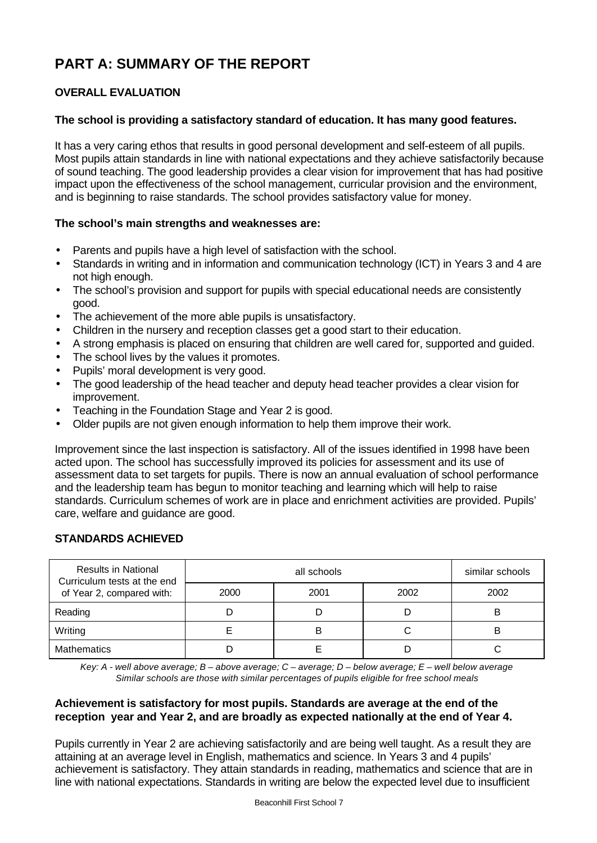# **PART A: SUMMARY OF THE REPORT**

# **OVERALL EVALUATION**

# **The school is providing a satisfactory standard of education. It has many good features.**

It has a very caring ethos that results in good personal development and self-esteem of all pupils. Most pupils attain standards in line with national expectations and they achieve satisfactorily because of sound teaching. The good leadership provides a clear vision for improvement that has had positive impact upon the effectiveness of the school management, curricular provision and the environment, and is beginning to raise standards. The school provides satisfactory value for money.

# **The school's main strengths and weaknesses are:**

- Parents and pupils have a high level of satisfaction with the school.
- Standards in writing and in information and communication technology (ICT) in Years 3 and 4 are not high enough.
- The school's provision and support for pupils with special educational needs are consistently good.
- The achievement of the more able pupils is unsatisfactory.
- Children in the nursery and reception classes get a good start to their education.
- A strong emphasis is placed on ensuring that children are well cared for, supported and guided.
- The school lives by the values it promotes.
- Pupils' moral development is very good.
- The good leadership of the head teacher and deputy head teacher provides a clear vision for improvement.
- Teaching in the Foundation Stage and Year 2 is good.
- Older pupils are not given enough information to help them improve their work.

Improvement since the last inspection is satisfactory. All of the issues identified in 1998 have been acted upon. The school has successfully improved its policies for assessment and its use of assessment data to set targets for pupils. There is now an annual evaluation of school performance and the leadership team has begun to monitor teaching and learning which will help to raise standards. Curriculum schemes of work are in place and enrichment activities are provided. Pupils' care, welfare and guidance are good.

## **STANDARDS ACHIEVED**

| <b>Results in National</b><br>Curriculum tests at the end |      | similar schools |      |      |
|-----------------------------------------------------------|------|-----------------|------|------|
| of Year 2, compared with:                                 | 2000 | 2001            | 2002 | 2002 |
| Reading                                                   |      |                 |      | B    |
| Writing                                                   |      | B               |      | в    |
| <b>Mathematics</b>                                        |      |                 |      |      |

*Key: A - well above average; B – above average; C – average; D – below average; E – well below average Similar schools are those with similar percentages of pupils eligible for free school meals*

## **Achievement is satisfactory for most pupils. Standards are average at the end of the reception year and Year 2, and are broadly as expected nationally at the end of Year 4.**

Pupils currently in Year 2 are achieving satisfactorily and are being well taught. As a result they are attaining at an average level in English, mathematics and science. In Years 3 and 4 pupils' achievement is satisfactory. They attain standards in reading, mathematics and science that are in line with national expectations. Standards in writing are below the expected level due to insufficient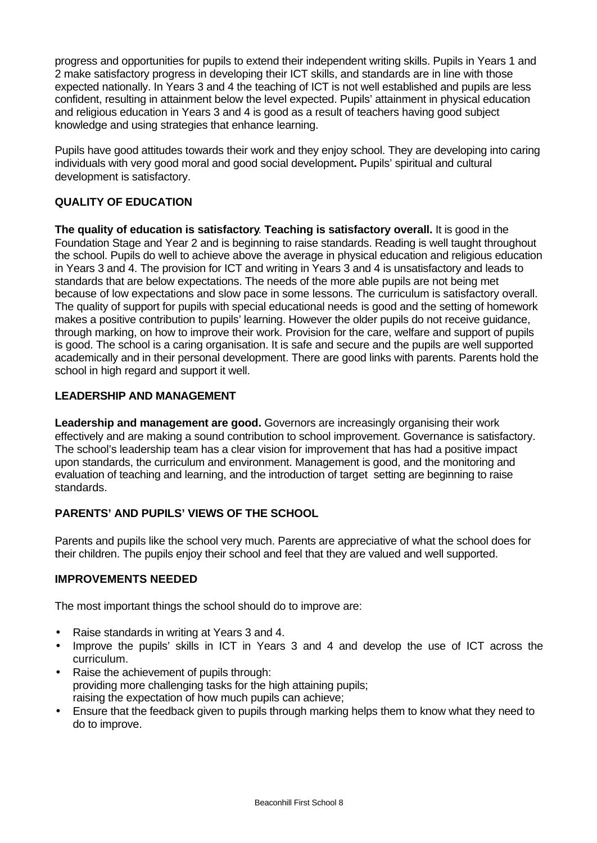progress and opportunities for pupils to extend their independent writing skills. Pupils in Years 1 and 2 make satisfactory progress in developing their ICT skills, and standards are in line with those expected nationally. In Years 3 and 4 the teaching of ICT is not well established and pupils are less confident, resulting in attainment below the level expected. Pupils' attainment in physical education and religious education in Years 3 and 4 is good as a result of teachers having good subject knowledge and using strategies that enhance learning.

Pupils have good attitudes towards their work and they enjoy school. They are developing into caring individuals with very good moral and good social development**.** Pupils' spiritual and cultural development is satisfactory.

# **QUALITY OF EDUCATION**

**The quality of education is satisfactory**. **Teaching is satisfactory overall.** It is good in the Foundation Stage and Year 2 and is beginning to raise standards. Reading is well taught throughout the school. Pupils do well to achieve above the average in physical education and religious education in Years 3 and 4. The provision for ICT and writing in Years 3 and 4 is unsatisfactory and leads to standards that are below expectations. The needs of the more able pupils are not being met because of low expectations and slow pace in some lessons. The curriculum is satisfactory overall. The quality of support for pupils with special educational needs is good and the setting of homework makes a positive contribution to pupils' learning. However the older pupils do not receive guidance, through marking, on how to improve their work. Provision for the care, welfare and support of pupils is good. The school is a caring organisation. It is safe and secure and the pupils are well supported academically and in their personal development. There are good links with parents. Parents hold the school in high regard and support it well.

# **LEADERSHIP AND MANAGEMENT**

**Leadership and management are good.** Governors are increasingly organising their work effectively and are making a sound contribution to school improvement. Governance is satisfactory. The school's leadership team has a clear vision for improvement that has had a positive impact upon standards, the curriculum and environment. Management is good, and the monitoring and evaluation of teaching and learning, and the introduction of target setting are beginning to raise standards.

# **PARENTS' AND PUPILS' VIEWS OF THE SCHOOL**

Parents and pupils like the school very much. Parents are appreciative of what the school does for their children. The pupils enjoy their school and feel that they are valued and well supported.

## **IMPROVEMENTS NEEDED**

The most important things the school should do to improve are:

- Raise standards in writing at Years 3 and 4.
- Improve the pupils' skills in ICT in Years 3 and 4 and develop the use of ICT across the curriculum.
- Raise the achievement of pupils through: providing more challenging tasks for the high attaining pupils; raising the expectation of how much pupils can achieve;
- Ensure that the feedback given to pupils through marking helps them to know what they need to do to improve.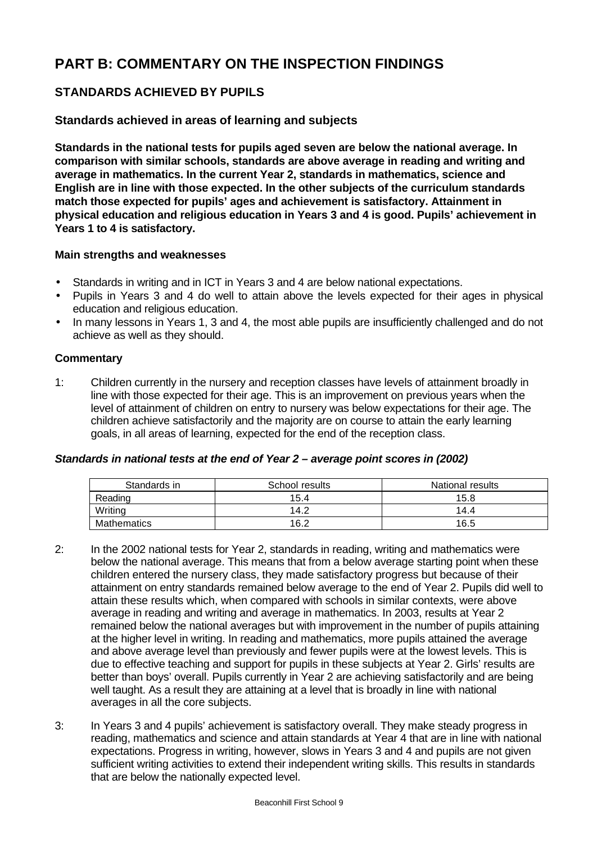# **PART B: COMMENTARY ON THE INSPECTION FINDINGS**

# **STANDARDS ACHIEVED BY PUPILS**

# **Standards achieved in areas of learning and subjects**

**Standards in the national tests for pupils aged seven are below the national average. In comparison with similar schools, standards are above average in reading and writing and average in mathematics. In the current Year 2, standards in mathematics, science and English are in line with those expected. In the other subjects of the curriculum standards match those expected for pupils' ages and achievement is satisfactory. Attainment in physical education and religious education in Years 3 and 4 is good. Pupils' achievement in Years 1 to 4 is satisfactory.**

# **Main strengths and weaknesses**

- Standards in writing and in ICT in Years 3 and 4 are below national expectations.
- Pupils in Years 3 and 4 do well to attain above the levels expected for their ages in physical education and religious education.
- In many lessons in Years 1, 3 and 4, the most able pupils are insufficiently challenged and do not achieve as well as they should.

# **Commentary**

1: Children currently in the nursery and reception classes have levels of attainment broadly in line with those expected for their age. This is an improvement on previous years when the level of attainment of children on entry to nursery was below expectations for their age. The children achieve satisfactorily and the majority are on course to attain the early learning goals, in all areas of learning, expected for the end of the reception class.

# *Standards in national tests at the end of Year 2 – average point scores in (2002)*

| Standards in       | School results | National results |
|--------------------|----------------|------------------|
| Reading            | 15.4           | 15.8             |
| Writing            | 14.2           | 14.4             |
| <b>Mathematics</b> | 16.2           | 16.5             |

- 2: In the 2002 national tests for Year 2, standards in reading, writing and mathematics were below the national average. This means that from a below average starting point when these children entered the nursery class, they made satisfactory progress but because of their attainment on entry standards remained below average to the end of Year 2. Pupils did well to attain these results which, when compared with schools in similar contexts, were above average in reading and writing and average in mathematics. In 2003, results at Year 2 remained below the national averages but with improvement in the number of pupils attaining at the higher level in writing. In reading and mathematics, more pupils attained the average and above average level than previously and fewer pupils were at the lowest levels. This is due to effective teaching and support for pupils in these subjects at Year 2. Girls' results are better than boys' overall. Pupils currently in Year 2 are achieving satisfactorily and are being well taught. As a result they are attaining at a level that is broadly in line with national averages in all the core subjects.
- 3: In Years 3 and 4 pupils' achievement is satisfactory overall. They make steady progress in reading, mathematics and science and attain standards at Year 4 that are in line with national expectations. Progress in writing, however, slows in Years 3 and 4 and pupils are not given sufficient writing activities to extend their independent writing skills. This results in standards that are below the nationally expected level.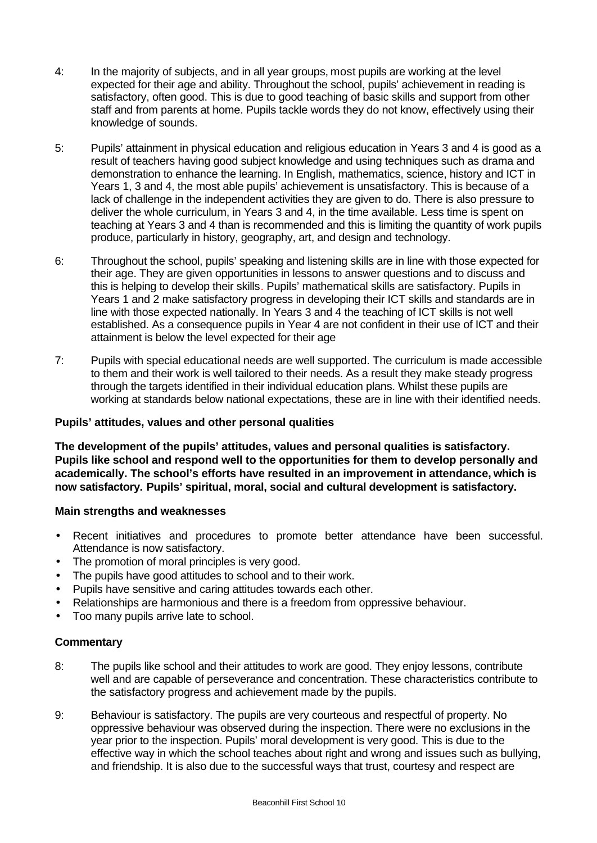- 4: In the majority of subjects, and in all year groups, most pupils are working at the level expected for their age and ability. Throughout the school, pupils' achievement in reading is satisfactory, often good. This is due to good teaching of basic skills and support from other staff and from parents at home. Pupils tackle words they do not know, effectively using their knowledge of sounds.
- 5: Pupils' attainment in physical education and religious education in Years 3 and 4 is good as a result of teachers having good subject knowledge and using techniques such as drama and demonstration to enhance the learning. In English, mathematics, science, history and ICT in Years 1, 3 and 4, the most able pupils' achievement is unsatisfactory. This is because of a lack of challenge in the independent activities they are given to do. There is also pressure to deliver the whole curriculum, in Years 3 and 4, in the time available. Less time is spent on teaching at Years 3 and 4 than is recommended and this is limiting the quantity of work pupils produce, particularly in history, geography, art, and design and technology.
- 6: Throughout the school, pupils' speaking and listening skills are in line with those expected for their age. They are given opportunities in lessons to answer questions and to discuss and this is helping to develop their skills. Pupils' mathematical skills are satisfactory. Pupils in Years 1 and 2 make satisfactory progress in developing their ICT skills and standards are in line with those expected nationally. In Years 3 and 4 the teaching of ICT skills is not well established. As a consequence pupils in Year 4 are not confident in their use of ICT and their attainment is below the level expected for their age
- 7: Pupils with special educational needs are well supported. The curriculum is made accessible to them and their work is well tailored to their needs. As a result they make steady progress through the targets identified in their individual education plans. Whilst these pupils are working at standards below national expectations, these are in line with their identified needs.

# **Pupils' attitudes, values and other personal qualities**

**The development of the pupils' attitudes, values and personal qualities is satisfactory. Pupils like school and respond well to the opportunities for them to develop personally and academically. The school's efforts have resulted in an improvement in attendance, which is now satisfactory. Pupils' spiritual, moral, social and cultural development is satisfactory.**

## **Main strengths and weaknesses**

- Recent initiatives and procedures to promote better attendance have been successful. Attendance is now satisfactory.
- The promotion of moral principles is very good.
- The pupils have good attitudes to school and to their work.
- Pupils have sensitive and caring attitudes towards each other.
- Relationships are harmonious and there is a freedom from oppressive behaviour.
- Too many pupils arrive late to school.

- 8: The pupils like school and their attitudes to work are good. They enjoy lessons, contribute well and are capable of perseverance and concentration. These characteristics contribute to the satisfactory progress and achievement made by the pupils.
- 9: Behaviour is satisfactory. The pupils are very courteous and respectful of property. No oppressive behaviour was observed during the inspection. There were no exclusions in the year prior to the inspection. Pupils' moral development is very good. This is due to the effective way in which the school teaches about right and wrong and issues such as bullying, and friendship. It is also due to the successful ways that trust, courtesy and respect are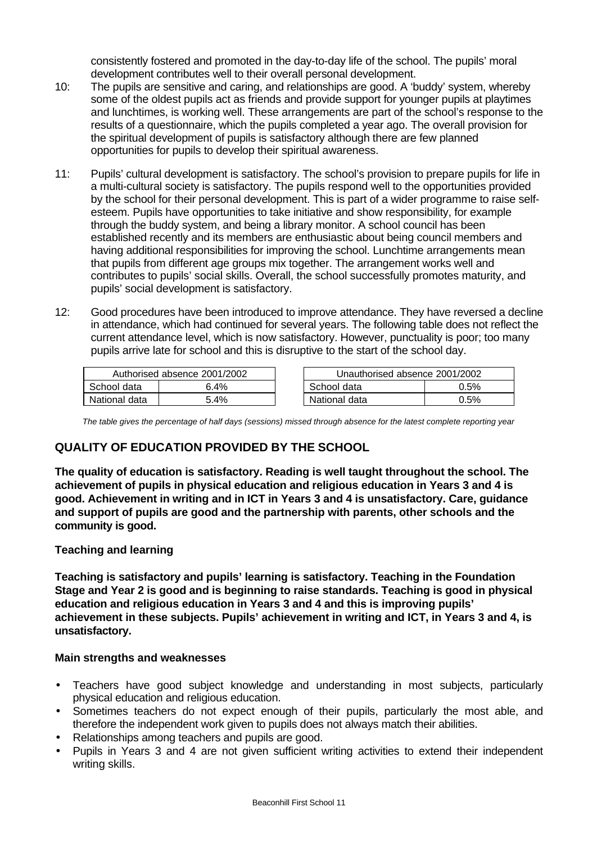consistently fostered and promoted in the day-to-day life of the school. The pupils' moral development contributes well to their overall personal development.

- 10: The pupils are sensitive and caring, and relationships are good. A 'buddy' system, whereby some of the oldest pupils act as friends and provide support for younger pupils at playtimes and lunchtimes, is working well. These arrangements are part of the school's response to the results of a questionnaire, which the pupils completed a year ago. The overall provision for the spiritual development of pupils is satisfactory although there are few planned opportunities for pupils to develop their spiritual awareness.
- 11: Pupils' cultural development is satisfactory. The school's provision to prepare pupils for life in a multi-cultural society is satisfactory. The pupils respond well to the opportunities provided by the school for their personal development. This is part of a wider programme to raise selfesteem. Pupils have opportunities to take initiative and show responsibility, for example through the buddy system, and being a library monitor. A school council has been established recently and its members are enthusiastic about being council members and having additional responsibilities for improving the school. Lunchtime arrangements mean that pupils from different age groups mix together. The arrangement works well and contributes to pupils' social skills. Overall, the school successfully promotes maturity, and pupils' social development is satisfactory.
- 12: Good procedures have been introduced to improve attendance. They have reversed a decline in attendance, which had continued for several years. The following table does not reflect the current attendance level, which is now satisfactory. However, punctuality is poor; too many pupils arrive late for school and this is disruptive to the start of the school day.

| Authorised absence 2001/2002 |        | Unauthorised absence 2001/2002 |      |
|------------------------------|--------|--------------------------------|------|
| School data                  | 6.4%   | School data                    | 0.5% |
| National data                | $.4\%$ | National data                  | 0.5% |

*The table gives the percentage of half days (sessions) missed through absence for the latest complete reporting year*

# **QUALITY OF EDUCATION PROVIDED BY THE SCHOOL**

**The quality of education is satisfactory. Reading is well taught throughout the school. The achievement of pupils in physical education and religious education in Years 3 and 4 is good. Achievement in writing and in ICT in Years 3 and 4 is unsatisfactory. Care, guidance and support of pupils are good and the partnership with parents, other schools and the community is good.**

## **Teaching and learning**

**Teaching is satisfactory and pupils' learning is satisfactory. Teaching in the Foundation Stage and Year 2 is good and is beginning to raise standards. Teaching is good in physical education and religious education in Years 3 and 4 and this is improving pupils' achievement in these subjects. Pupils' achievement in writing and ICT, in Years 3 and 4, is unsatisfactory.**

## **Main strengths and weaknesses**

- Teachers have good subject knowledge and understanding in most subjects, particularly physical education and religious education.
- Sometimes teachers do not expect enough of their pupils, particularly the most able, and therefore the independent work given to pupils does not always match their abilities.
- Relationships among teachers and pupils are good.
- Pupils in Years 3 and 4 are not given sufficient writing activities to extend their independent writing skills.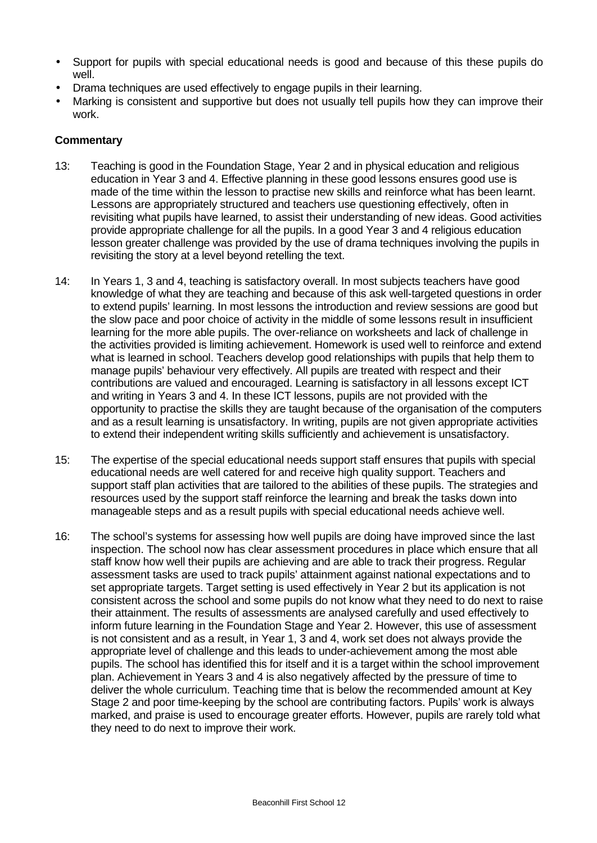- Support for pupils with special educational needs is good and because of this these pupils do well.
- Drama techniques are used effectively to engage pupils in their learning.
- Marking is consistent and supportive but does not usually tell pupils how they can improve their work.

- 13: Teaching is good in the Foundation Stage, Year 2 and in physical education and religious education in Year 3 and 4. Effective planning in these good lessons ensures good use is made of the time within the lesson to practise new skills and reinforce what has been learnt. Lessons are appropriately structured and teachers use questioning effectively, often in revisiting what pupils have learned, to assist their understanding of new ideas. Good activities provide appropriate challenge for all the pupils. In a good Year 3 and 4 religious education lesson greater challenge was provided by the use of drama techniques involving the pupils in revisiting the story at a level beyond retelling the text.
- 14: In Years 1, 3 and 4, teaching is satisfactory overall. In most subjects teachers have good knowledge of what they are teaching and because of this ask well-targeted questions in order to extend pupils' learning. In most lessons the introduction and review sessions are good but the slow pace and poor choice of activity in the middle of some lessons result in insufficient learning for the more able pupils. The over-reliance on worksheets and lack of challenge in the activities provided is limiting achievement. Homework is used well to reinforce and extend what is learned in school. Teachers develop good relationships with pupils that help them to manage pupils' behaviour very effectively. All pupils are treated with respect and their contributions are valued and encouraged. Learning is satisfactory in all lessons except ICT and writing in Years 3 and 4. In these ICT lessons, pupils are not provided with the opportunity to practise the skills they are taught because of the organisation of the computers and as a result learning is unsatisfactory. In writing, pupils are not given appropriate activities to extend their independent writing skills sufficiently and achievement is unsatisfactory.
- 15: The expertise of the special educational needs support staff ensures that pupils with special educational needs are well catered for and receive high quality support. Teachers and support staff plan activities that are tailored to the abilities of these pupils. The strategies and resources used by the support staff reinforce the learning and break the tasks down into manageable steps and as a result pupils with special educational needs achieve well.
- 16: The school's systems for assessing how well pupils are doing have improved since the last inspection. The school now has clear assessment procedures in place which ensure that all staff know how well their pupils are achieving and are able to track their progress. Regular assessment tasks are used to track pupils' attainment against national expectations and to set appropriate targets. Target setting is used effectively in Year 2 but its application is not consistent across the school and some pupils do not know what they need to do next to raise their attainment. The results of assessments are analysed carefully and used effectively to inform future learning in the Foundation Stage and Year 2. However, this use of assessment is not consistent and as a result, in Year 1, 3 and 4, work set does not always provide the appropriate level of challenge and this leads to under-achievement among the most able pupils. The school has identified this for itself and it is a target within the school improvement plan. Achievement in Years 3 and 4 is also negatively affected by the pressure of time to deliver the whole curriculum. Teaching time that is below the recommended amount at Key Stage 2 and poor time-keeping by the school are contributing factors. Pupils' work is always marked, and praise is used to encourage greater efforts. However, pupils are rarely told what they need to do next to improve their work.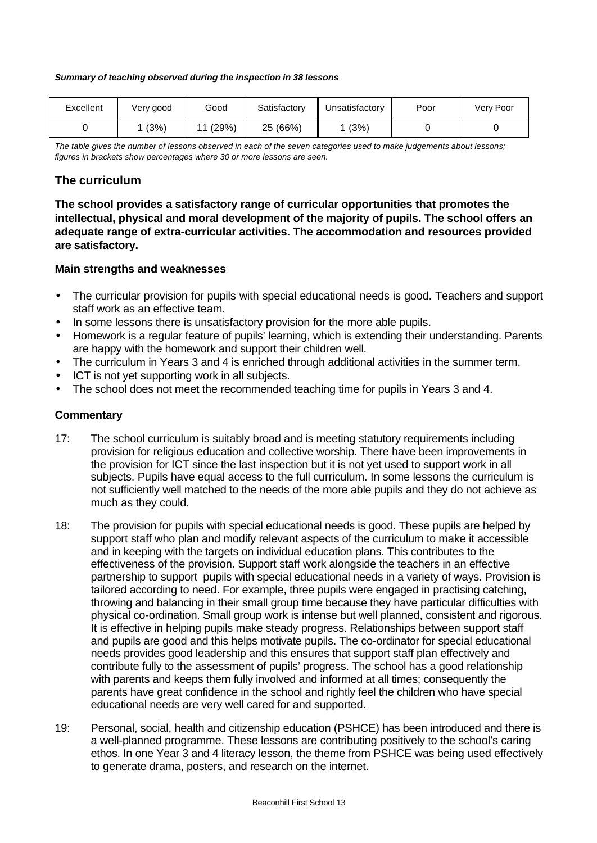#### *Summary of teaching observed during the inspection in 38 lessons*

| Excellent | Very good | Good        | Satisfactory | Jnsatisfactory | Poor | Very Poor |
|-----------|-----------|-------------|--------------|----------------|------|-----------|
|           | (3%)      | (29%)<br>44 | 25 (66%)     | (3%)           |      |           |

*The table gives the number of lessons observed in each of the seven categories used to make judgements about lessons; figures in brackets show percentages where 30 or more lessons are seen.*

# **The curriculum**

**The school provides a satisfactory range of curricular opportunities that promotes the intellectual, physical and moral development of the majority of pupils. The school offers an adequate range of extra-curricular activities. The accommodation and resources provided are satisfactory.**

#### **Main strengths and weaknesses**

- The curricular provision for pupils with special educational needs is good. Teachers and support staff work as an effective team.
- In some lessons there is unsatisfactory provision for the more able pupils.
- Homework is a regular feature of pupils' learning, which is extending their understanding. Parents are happy with the homework and support their children well.
- The curriculum in Years 3 and 4 is enriched through additional activities in the summer term.
- ICT is not yet supporting work in all subjects.
- The school does not meet the recommended teaching time for pupils in Years 3 and 4.

- 17: The school curriculum is suitably broad and is meeting statutory requirements including provision for religious education and collective worship. There have been improvements in the provision for ICT since the last inspection but it is not yet used to support work in all subjects. Pupils have equal access to the full curriculum. In some lessons the curriculum is not sufficiently well matched to the needs of the more able pupils and they do not achieve as much as they could.
- 18: The provision for pupils with special educational needs is good. These pupils are helped by support staff who plan and modify relevant aspects of the curriculum to make it accessible and in keeping with the targets on individual education plans. This contributes to the effectiveness of the provision. Support staff work alongside the teachers in an effective partnership to support pupils with special educational needs in a variety of ways. Provision is tailored according to need. For example, three pupils were engaged in practising catching, throwing and balancing in their small group time because they have particular difficulties with physical co-ordination. Small group work is intense but well planned, consistent and rigorous. It is effective in helping pupils make steady progress. Relationships between support staff and pupils are good and this helps motivate pupils. The co-ordinator for special educational needs provides good leadership and this ensures that support staff plan effectively and contribute fully to the assessment of pupils' progress. The school has a good relationship with parents and keeps them fully involved and informed at all times; consequently the parents have great confidence in the school and rightly feel the children who have special educational needs are very well cared for and supported.
- 19: Personal, social, health and citizenship education (PSHCE) has been introduced and there is a well-planned programme. These lessons are contributing positively to the school's caring ethos. In one Year 3 and 4 literacy lesson, the theme from PSHCE was being used effectively to generate drama, posters, and research on the internet.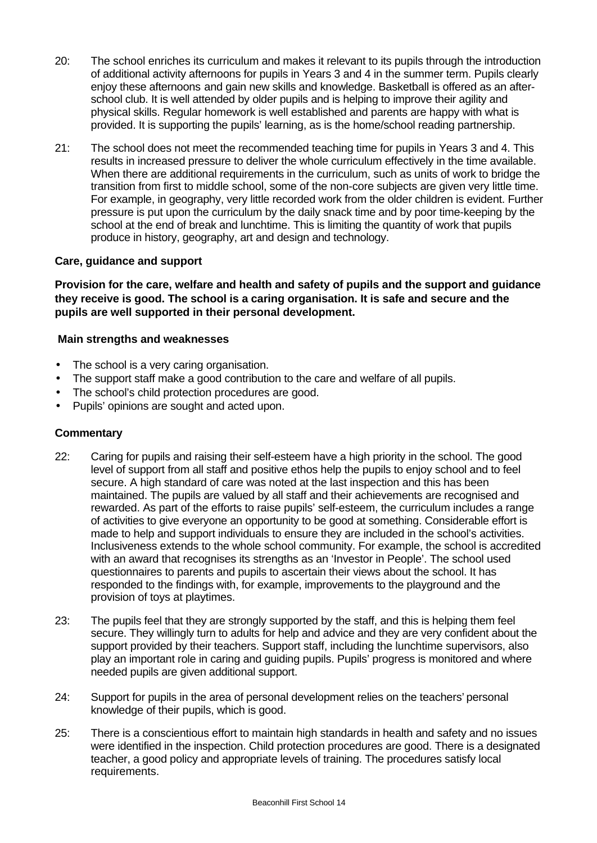- 20: The school enriches its curriculum and makes it relevant to its pupils through the introduction of additional activity afternoons for pupils in Years 3 and 4 in the summer term. Pupils clearly enjoy these afternoons and gain new skills and knowledge. Basketball is offered as an afterschool club. It is well attended by older pupils and is helping to improve their agility and physical skills. Regular homework is well established and parents are happy with what is provided. It is supporting the pupils' learning, as is the home/school reading partnership.
- 21: The school does not meet the recommended teaching time for pupils in Years 3 and 4. This results in increased pressure to deliver the whole curriculum effectively in the time available. When there are additional requirements in the curriculum, such as units of work to bridge the transition from first to middle school, some of the non-core subjects are given very little time. For example, in geography, very little recorded work from the older children is evident. Further pressure is put upon the curriculum by the daily snack time and by poor time-keeping by the school at the end of break and lunchtime. This is limiting the quantity of work that pupils produce in history, geography, art and design and technology.

# **Care, guidance and support**

**Provision for the care, welfare and health and safety of pupils and the support and guidance they receive is good. The school is a caring organisation. It is safe and secure and the pupils are well supported in their personal development.**

# **Main strengths and weaknesses**

- The school is a very caring organisation.
- The support staff make a good contribution to the care and welfare of all pupils.
- The school's child protection procedures are good.
- Pupils' opinions are sought and acted upon.

- 22: Caring for pupils and raising their self-esteem have a high priority in the school. The good level of support from all staff and positive ethos help the pupils to enjoy school and to feel secure. A high standard of care was noted at the last inspection and this has been maintained. The pupils are valued by all staff and their achievements are recognised and rewarded. As part of the efforts to raise pupils' self-esteem, the curriculum includes a range of activities to give everyone an opportunity to be good at something. Considerable effort is made to help and support individuals to ensure they are included in the school's activities. Inclusiveness extends to the whole school community. For example, the school is accredited with an award that recognises its strengths as an 'Investor in People'. The school used questionnaires to parents and pupils to ascertain their views about the school. It has responded to the findings with, for example, improvements to the playground and the provision of toys at playtimes.
- 23: The pupils feel that they are strongly supported by the staff, and this is helping them feel secure. They willingly turn to adults for help and advice and they are very confident about the support provided by their teachers. Support staff, including the lunchtime supervisors, also play an important role in caring and guiding pupils. Pupils' progress is monitored and where needed pupils are given additional support.
- 24: Support for pupils in the area of personal development relies on the teachers' personal knowledge of their pupils, which is good.
- 25: There is a conscientious effort to maintain high standards in health and safety and no issues were identified in the inspection. Child protection procedures are good. There is a designated teacher, a good policy and appropriate levels of training. The procedures satisfy local requirements.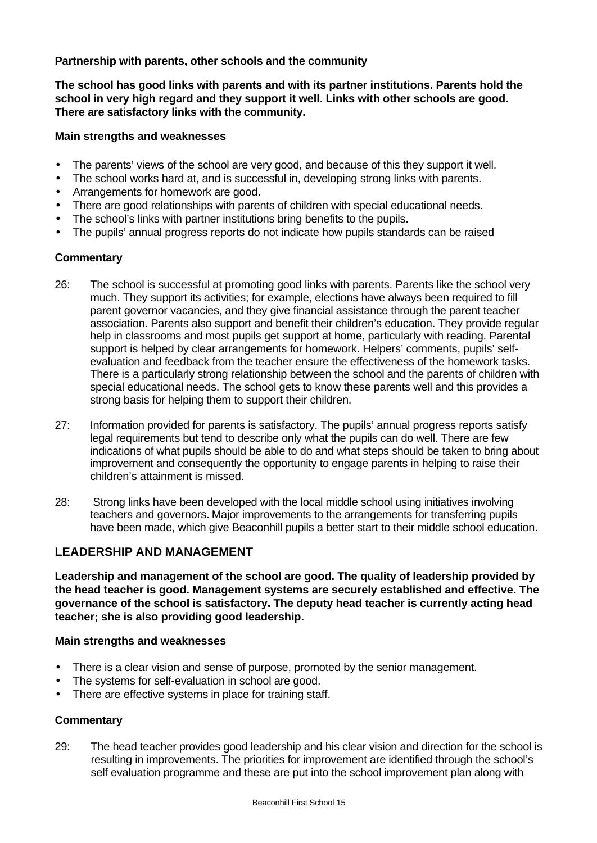**Partnership with parents, other schools and the community**

**The school has good links with parents and with its partner institutions. Parents hold the school in very high regard and they support it well. Links with other schools are good. There are satisfactory links with the community.**

# **Main strengths and weaknesses**

- The parents' views of the school are very good, and because of this they support it well.
- The school works hard at, and is successful in, developing strong links with parents.
- Arrangements for homework are good.
- There are good relationships with parents of children with special educational needs.
- The school's links with partner institutions bring benefits to the pupils.
- The pupils' annual progress reports do not indicate how pupils standards can be raised

# **Commentary**

- 26: The school is successful at promoting good links with parents. Parents like the school very much. They support its activities; for example, elections have always been required to fill parent governor vacancies, and they give financial assistance through the parent teacher association. Parents also support and benefit their children's education. They provide regular help in classrooms and most pupils get support at home, particularly with reading. Parental support is helped by clear arrangements for homework. Helpers' comments, pupils' selfevaluation and feedback from the teacher ensure the effectiveness of the homework tasks. There is a particularly strong relationship between the school and the parents of children with special educational needs. The school gets to know these parents well and this provides a strong basis for helping them to support their children.
- 27: Information provided for parents is satisfactory. The pupils' annual progress reports satisfy legal requirements but tend to describe only what the pupils can do well. There are few indications of what pupils should be able to do and what steps should be taken to bring about improvement and consequently the opportunity to engage parents in helping to raise their children's attainment is missed.
- 28: Strong links have been developed with the local middle school using initiatives involving teachers and governors. Major improvements to the arrangements for transferring pupils have been made, which give Beaconhill pupils a better start to their middle school education.

# **LEADERSHIP AND MANAGEMENT**

**Leadership and management of the school are good. The quality of leadership provided by the head teacher is good. Management systems are securely established and effective. The governance of the school is satisfactory. The deputy head teacher is currently acting head teacher; she is also providing good leadership.**

## **Main strengths and weaknesses**

- There is a clear vision and sense of purpose, promoted by the senior management.
- The systems for self-evaluation in school are good.
- There are effective systems in place for training staff.

## **Commentary**

29: The head teacher provides good leadership and his clear vision and direction for the school is resulting in improvements. The priorities for improvement are identified through the school's self evaluation programme and these are put into the school improvement plan along with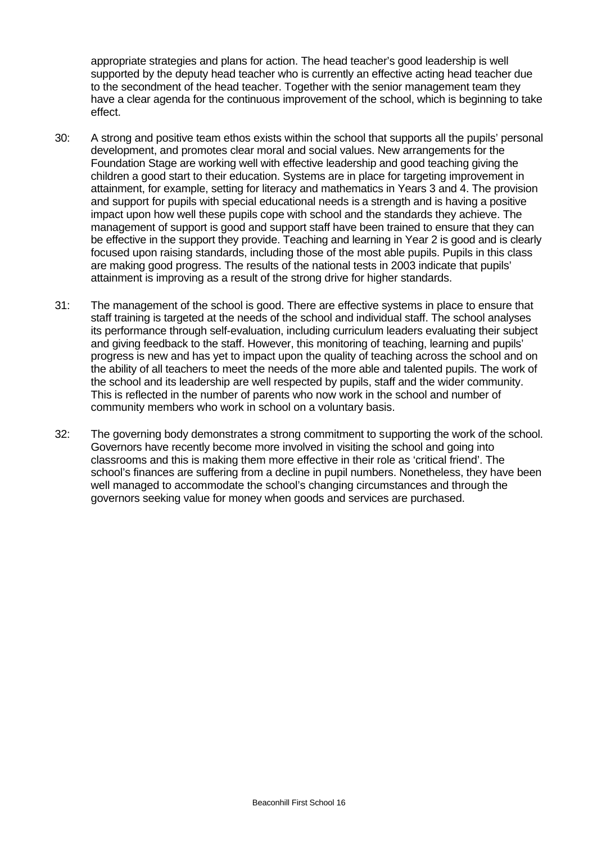appropriate strategies and plans for action. The head teacher's good leadership is well supported by the deputy head teacher who is currently an effective acting head teacher due to the secondment of the head teacher. Together with the senior management team they have a clear agenda for the continuous improvement of the school, which is beginning to take effect.

- 30: A strong and positive team ethos exists within the school that supports all the pupils' personal development, and promotes clear moral and social values. New arrangements for the Foundation Stage are working well with effective leadership and good teaching giving the children a good start to their education. Systems are in place for targeting improvement in attainment, for example, setting for literacy and mathematics in Years 3 and 4. The provision and support for pupils with special educational needs is a strength and is having a positive impact upon how well these pupils cope with school and the standards they achieve. The management of support is good and support staff have been trained to ensure that they can be effective in the support they provide. Teaching and learning in Year 2 is good and is clearly focused upon raising standards, including those of the most able pupils. Pupils in this class are making good progress. The results of the national tests in 2003 indicate that pupils' attainment is improving as a result of the strong drive for higher standards.
- 31: The management of the school is good. There are effective systems in place to ensure that staff training is targeted at the needs of the school and individual staff. The school analyses its performance through self-evaluation, including curriculum leaders evaluating their subject and giving feedback to the staff. However, this monitoring of teaching, learning and pupils' progress is new and has yet to impact upon the quality of teaching across the school and on the ability of all teachers to meet the needs of the more able and talented pupils. The work of the school and its leadership are well respected by pupils, staff and the wider community. This is reflected in the number of parents who now work in the school and number of community members who work in school on a voluntary basis.
- 32: The governing body demonstrates a strong commitment to supporting the work of the school. Governors have recently become more involved in visiting the school and going into classrooms and this is making them more effective in their role as 'critical friend'. The school's finances are suffering from a decline in pupil numbers. Nonetheless, they have been well managed to accommodate the school's changing circumstances and through the governors seeking value for money when goods and services are purchased.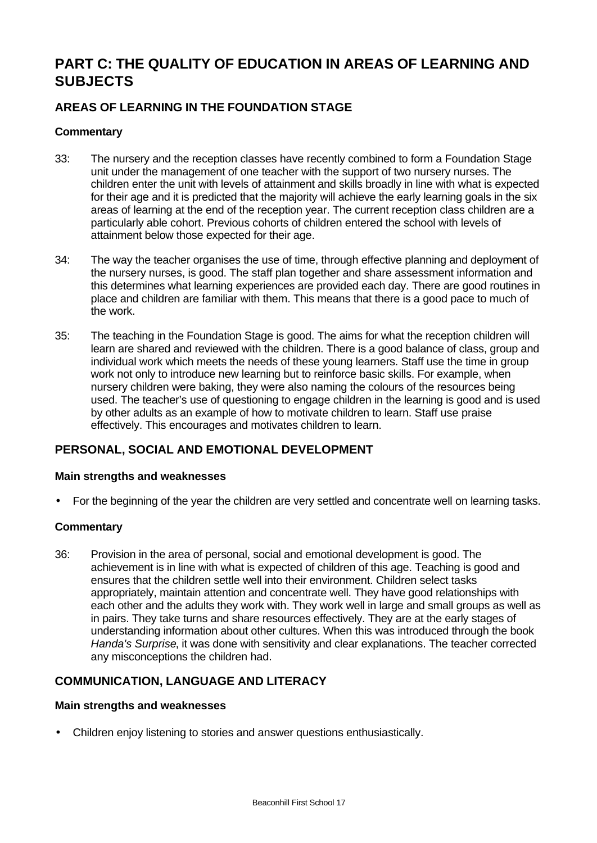# **PART C: THE QUALITY OF EDUCATION IN AREAS OF LEARNING AND SUBJECTS**

# **AREAS OF LEARNING IN THE FOUNDATION STAGE**

# **Commentary**

- 33: The nursery and the reception classes have recently combined to form a Foundation Stage unit under the management of one teacher with the support of two nursery nurses. The children enter the unit with levels of attainment and skills broadly in line with what is expected for their age and it is predicted that the majority will achieve the early learning goals in the six areas of learning at the end of the reception year. The current reception class children are a particularly able cohort. Previous cohorts of children entered the school with levels of attainment below those expected for their age.
- 34: The way the teacher organises the use of time, through effective planning and deployment of the nursery nurses, is good. The staff plan together and share assessment information and this determines what learning experiences are provided each day. There are good routines in place and children are familiar with them. This means that there is a good pace to much of the work.
- 35: The teaching in the Foundation Stage is good. The aims for what the reception children will learn are shared and reviewed with the children. There is a good balance of class, group and individual work which meets the needs of these young learners. Staff use the time in group work not only to introduce new learning but to reinforce basic skills. For example, when nursery children were baking, they were also naming the colours of the resources being used. The teacher's use of questioning to engage children in the learning is good and is used by other adults as an example of how to motivate children to learn. Staff use praise effectively. This encourages and motivates children to learn.

# **PERSONAL, SOCIAL AND EMOTIONAL DEVELOPMENT**

## **Main strengths and weaknesses**

• For the beginning of the year the children are very settled and concentrate well on learning tasks.

## **Commentary**

36: Provision in the area of personal, social and emotional development is good. The achievement is in line with what is expected of children of this age. Teaching is good and ensures that the children settle well into their environment. Children select tasks appropriately, maintain attention and concentrate well. They have good relationships with each other and the adults they work with. They work well in large and small groups as well as in pairs. They take turns and share resources effectively. They are at the early stages of understanding information about other cultures. When this was introduced through the book *Handa's Surprise*, it was done with sensitivity and clear explanations. The teacher corrected any misconceptions the children had.

# **COMMUNICATION, LANGUAGE AND LITERACY**

#### **Main strengths and weaknesses**

• Children enjoy listening to stories and answer questions enthusiastically.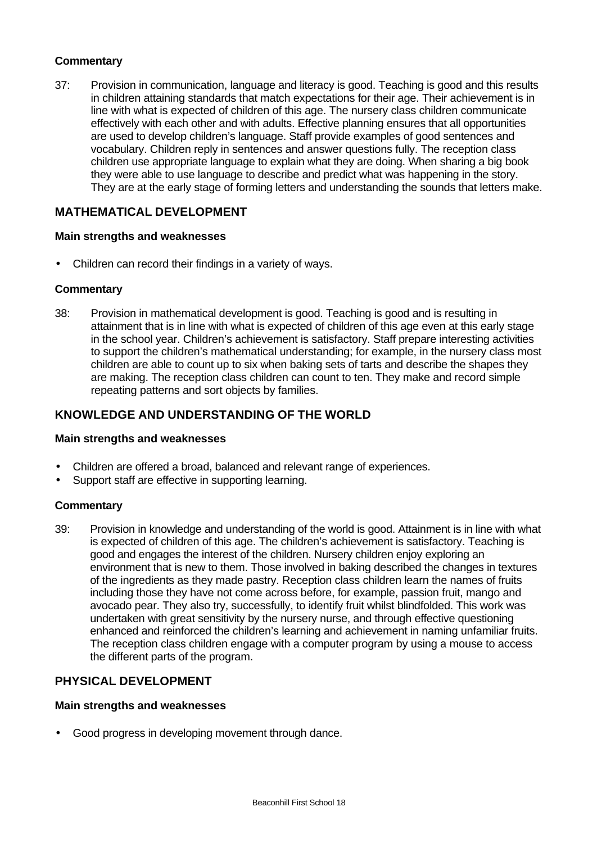# **Commentary**

37: Provision in communication, language and literacy is good. Teaching is good and this results in children attaining standards that match expectations for their age. Their achievement is in line with what is expected of children of this age. The nursery class children communicate effectively with each other and with adults. Effective planning ensures that all opportunities are used to develop children's language. Staff provide examples of good sentences and vocabulary. Children reply in sentences and answer questions fully. The reception class children use appropriate language to explain what they are doing. When sharing a big book they were able to use language to describe and predict what was happening in the story. They are at the early stage of forming letters and understanding the sounds that letters make.

# **MATHEMATICAL DEVELOPMENT**

#### **Main strengths and weaknesses**

• Children can record their findings in a variety of ways.

#### **Commentary**

38: Provision in mathematical development is good. Teaching is good and is resulting in attainment that is in line with what is expected of children of this age even at this early stage in the school year. Children's achievement is satisfactory. Staff prepare interesting activities to support the children's mathematical understanding; for example, in the nursery class most children are able to count up to six when baking sets of tarts and describe the shapes they are making. The reception class children can count to ten. They make and record simple repeating patterns and sort objects by families.

# **KNOWLEDGE AND UNDERSTANDING OF THE WORLD**

#### **Main strengths and weaknesses**

- Children are offered a broad, balanced and relevant range of experiences.
- Support staff are effective in supporting learning.

## **Commentary**

39: Provision in knowledge and understanding of the world is good. Attainment is in line with what is expected of children of this age. The children's achievement is satisfactory. Teaching is good and engages the interest of the children. Nursery children enjoy exploring an environment that is new to them. Those involved in baking described the changes in textures of the ingredients as they made pastry. Reception class children learn the names of fruits including those they have not come across before, for example, passion fruit, mango and avocado pear. They also try, successfully, to identify fruit whilst blindfolded. This work was undertaken with great sensitivity by the nursery nurse, and through effective questioning enhanced and reinforced the children's learning and achievement in naming unfamiliar fruits. The reception class children engage with a computer program by using a mouse to access the different parts of the program.

# **PHYSICAL DEVELOPMENT**

#### **Main strengths and weaknesses**

• Good progress in developing movement through dance.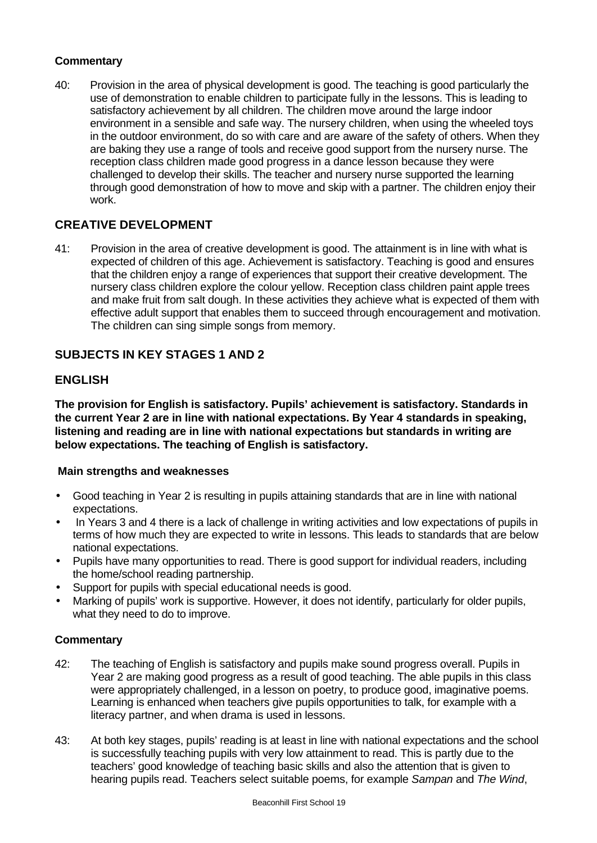# **Commentary**

40: Provision in the area of physical development is good. The teaching is good particularly the use of demonstration to enable children to participate fully in the lessons. This is leading to satisfactory achievement by all children. The children move around the large indoor environment in a sensible and safe way. The nursery children, when using the wheeled toys in the outdoor environment, do so with care and are aware of the safety of others. When they are baking they use a range of tools and receive good support from the nursery nurse. The reception class children made good progress in a dance lesson because they were challenged to develop their skills. The teacher and nursery nurse supported the learning through good demonstration of how to move and skip with a partner. The children enjoy their work.

# **CREATIVE DEVELOPMENT**

41: Provision in the area of creative development is good. The attainment is in line with what is expected of children of this age. Achievement is satisfactory. Teaching is good and ensures that the children enjoy a range of experiences that support their creative development. The nursery class children explore the colour yellow. Reception class children paint apple trees and make fruit from salt dough. In these activities they achieve what is expected of them with effective adult support that enables them to succeed through encouragement and motivation. The children can sing simple songs from memory.

# **SUBJECTS IN KEY STAGES 1 AND 2**

# **ENGLISH**

**The provision for English is satisfactory. Pupils' achievement is satisfactory. Standards in the current Year 2 are in line with national expectations. By Year 4 standards in speaking, listening and reading are in line with national expectations but standards in writing are below expectations. The teaching of English is satisfactory.**

## **Main strengths and weaknesses**

- Good teaching in Year 2 is resulting in pupils attaining standards that are in line with national expectations.
- In Years 3 and 4 there is a lack of challenge in writing activities and low expectations of pupils in terms of how much they are expected to write in lessons. This leads to standards that are below national expectations.
- Pupils have many opportunities to read. There is good support for individual readers, including the home/school reading partnership.
- Support for pupils with special educational needs is good.
- Marking of pupils' work is supportive. However, it does not identify, particularly for older pupils, what they need to do to improve.

- 42: The teaching of English is satisfactory and pupils make sound progress overall. Pupils in Year 2 are making good progress as a result of good teaching. The able pupils in this class were appropriately challenged, in a lesson on poetry, to produce good, imaginative poems. Learning is enhanced when teachers give pupils opportunities to talk, for example with a literacy partner, and when drama is used in lessons.
- 43: At both key stages, pupils' reading is at least in line with national expectations and the school is successfully teaching pupils with very low attainment to read. This is partly due to the teachers' good knowledge of teaching basic skills and also the attention that is given to hearing pupils read. Teachers select suitable poems, for example *Sampan* and *The Wind*,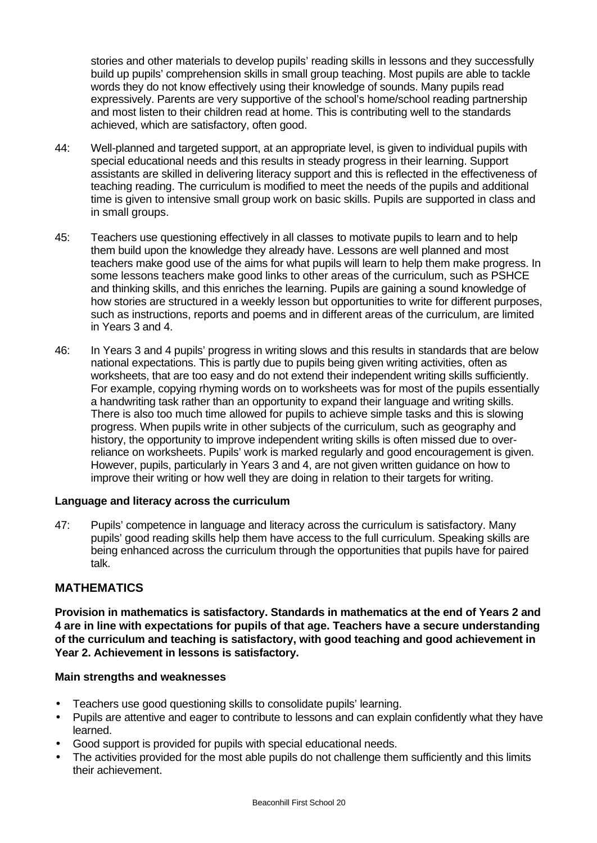stories and other materials to develop pupils' reading skills in lessons and they successfully build up pupils' comprehension skills in small group teaching. Most pupils are able to tackle words they do not know effectively using their knowledge of sounds. Many pupils read expressively. Parents are very supportive of the school's home/school reading partnership and most listen to their children read at home. This is contributing well to the standards achieved, which are satisfactory, often good.

- 44: Well-planned and targeted support, at an appropriate level, is given to individual pupils with special educational needs and this results in steady progress in their learning. Support assistants are skilled in delivering literacy support and this is reflected in the effectiveness of teaching reading. The curriculum is modified to meet the needs of the pupils and additional time is given to intensive small group work on basic skills. Pupils are supported in class and in small groups.
- 45: Teachers use questioning effectively in all classes to motivate pupils to learn and to help them build upon the knowledge they already have. Lessons are well planned and most teachers make good use of the aims for what pupils will learn to help them make progress. In some lessons teachers make good links to other areas of the curriculum, such as PSHCE and thinking skills, and this enriches the learning. Pupils are gaining a sound knowledge of how stories are structured in a weekly lesson but opportunities to write for different purposes, such as instructions, reports and poems and in different areas of the curriculum, are limited in Years 3 and 4.
- 46: In Years 3 and 4 pupils' progress in writing slows and this results in standards that are below national expectations. This is partly due to pupils being given writing activities, often as worksheets, that are too easy and do not extend their independent writing skills sufficiently. For example, copying rhyming words on to worksheets was for most of the pupils essentially a handwriting task rather than an opportunity to expand their language and writing skills. There is also too much time allowed for pupils to achieve simple tasks and this is slowing progress. When pupils write in other subjects of the curriculum, such as geography and history, the opportunity to improve independent writing skills is often missed due to overreliance on worksheets. Pupils' work is marked regularly and good encouragement is given. However, pupils, particularly in Years 3 and 4, are not given written guidance on how to improve their writing or how well they are doing in relation to their targets for writing.

## **Language and literacy across the curriculum**

47: Pupils' competence in language and literacy across the curriculum is satisfactory. Many pupils' good reading skills help them have access to the full curriculum. Speaking skills are being enhanced across the curriculum through the opportunities that pupils have for paired talk.

# **MATHEMATICS**

**Provision in mathematics is satisfactory. Standards in mathematics at the end of Years 2 and 4 are in line with expectations for pupils of that age. Teachers have a secure understanding of the curriculum and teaching is satisfactory, with good teaching and good achievement in Year 2. Achievement in lessons is satisfactory.**

#### **Main strengths and weaknesses**

- Teachers use good questioning skills to consolidate pupils' learning.
- Pupils are attentive and eager to contribute to lessons and can explain confidently what they have learned.
- Good support is provided for pupils with special educational needs.
- The activities provided for the most able pupils do not challenge them sufficiently and this limits their achievement.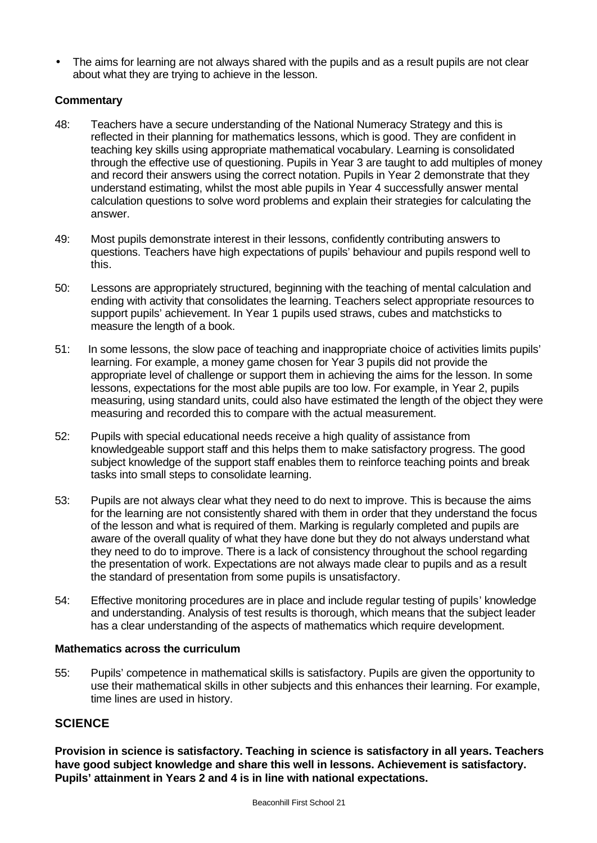• The aims for learning are not always shared with the pupils and as a result pupils are not clear about what they are trying to achieve in the lesson.

# **Commentary**

- 48: Teachers have a secure understanding of the National Numeracy Strategy and this is reflected in their planning for mathematics lessons, which is good. They are confident in teaching key skills using appropriate mathematical vocabulary. Learning is consolidated through the effective use of questioning. Pupils in Year 3 are taught to add multiples of money and record their answers using the correct notation. Pupils in Year 2 demonstrate that they understand estimating, whilst the most able pupils in Year 4 successfully answer mental calculation questions to solve word problems and explain their strategies for calculating the answer.
- 49: Most pupils demonstrate interest in their lessons, confidently contributing answers to questions. Teachers have high expectations of pupils' behaviour and pupils respond well to this.
- 50: Lessons are appropriately structured, beginning with the teaching of mental calculation and ending with activity that consolidates the learning. Teachers select appropriate resources to support pupils' achievement. In Year 1 pupils used straws, cubes and matchsticks to measure the length of a book.
- 51: In some lessons, the slow pace of teaching and inappropriate choice of activities limits pupils' learning. For example, a money game chosen for Year 3 pupils did not provide the appropriate level of challenge or support them in achieving the aims for the lesson. In some lessons, expectations for the most able pupils are too low. For example, in Year 2, pupils measuring, using standard units, could also have estimated the length of the object they were measuring and recorded this to compare with the actual measurement.
- 52: Pupils with special educational needs receive a high quality of assistance from knowledgeable support staff and this helps them to make satisfactory progress. The good subject knowledge of the support staff enables them to reinforce teaching points and break tasks into small steps to consolidate learning.
- 53: Pupils are not always clear what they need to do next to improve. This is because the aims for the learning are not consistently shared with them in order that they understand the focus of the lesson and what is required of them. Marking is regularly completed and pupils are aware of the overall quality of what they have done but they do not always understand what they need to do to improve. There is a lack of consistency throughout the school regarding the presentation of work. Expectations are not always made clear to pupils and as a result the standard of presentation from some pupils is unsatisfactory.
- 54: Effective monitoring procedures are in place and include regular testing of pupils' knowledge and understanding. Analysis of test results is thorough, which means that the subject leader has a clear understanding of the aspects of mathematics which require development.

## **Mathematics across the curriculum**

55: Pupils' competence in mathematical skills is satisfactory. Pupils are given the opportunity to use their mathematical skills in other subjects and this enhances their learning. For example, time lines are used in history.

# **SCIENCE**

**Provision in science is satisfactory. Teaching in science is satisfactory in all years. Teachers have good subject knowledge and share this well in lessons. Achievement is satisfactory. Pupils' attainment in Years 2 and 4 is in line with national expectations.**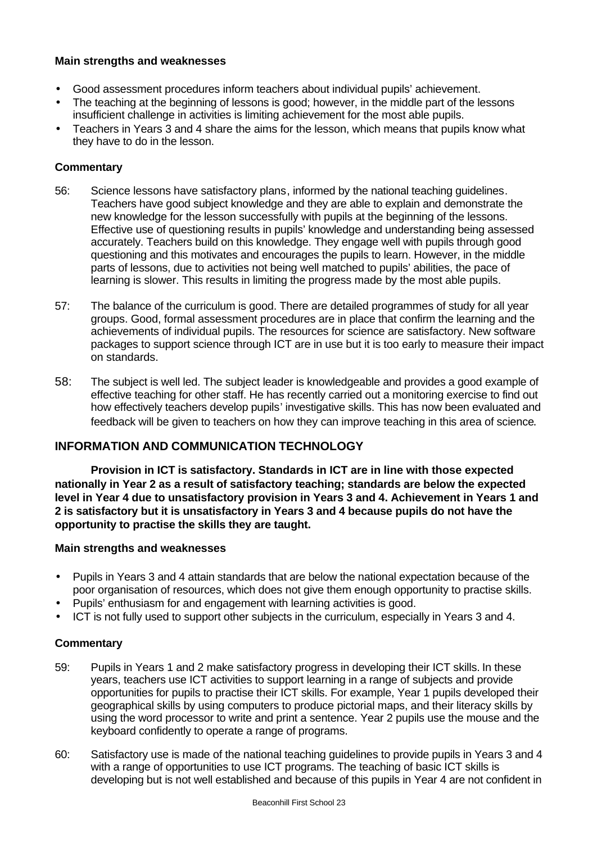# **Main strengths and weaknesses**

- Good assessment procedures inform teachers about individual pupils' achievement.
- The teaching at the beginning of lessons is good; however, in the middle part of the lessons insufficient challenge in activities is limiting achievement for the most able pupils.
- Teachers in Years 3 and 4 share the aims for the lesson, which means that pupils know what they have to do in the lesson.

# **Commentary**

- 56: Science lessons have satisfactory plans, informed by the national teaching guidelines. Teachers have good subject knowledge and they are able to explain and demonstrate the new knowledge for the lesson successfully with pupils at the beginning of the lessons. Effective use of questioning results in pupils' knowledge and understanding being assessed accurately. Teachers build on this knowledge. They engage well with pupils through good questioning and this motivates and encourages the pupils to learn. However, in the middle parts of lessons, due to activities not being well matched to pupils' abilities, the pace of learning is slower. This results in limiting the progress made by the most able pupils.
- 57: The balance of the curriculum is good. There are detailed programmes of study for all year groups. Good, formal assessment procedures are in place that confirm the learning and the achievements of individual pupils. The resources for science are satisfactory. New software packages to support science through ICT are in use but it is too early to measure their impact on standards.
- 58: The subject is well led. The subject leader is knowledgeable and provides a good example of effective teaching for other staff. He has recently carried out a monitoring exercise to find out how effectively teachers develop pupils' investigative skills. This has now been evaluated and feedback will be given to teachers on how they can improve teaching in this area of science.

# **INFORMATION AND COMMUNICATION TECHNOLOGY**

**Provision in ICT is satisfactory. Standards in ICT are in line with those expected nationally in Year 2 as a result of satisfactory teaching; standards are below the expected level in Year 4 due to unsatisfactory provision in Years 3 and 4. Achievement in Years 1 and 2 is satisfactory but it is unsatisfactory in Years 3 and 4 because pupils do not have the opportunity to practise the skills they are taught.**

## **Main strengths and weaknesses**

- Pupils in Years 3 and 4 attain standards that are below the national expectation because of the poor organisation of resources, which does not give them enough opportunity to practise skills.
- Pupils' enthusiasm for and engagement with learning activities is good.
- ICT is not fully used to support other subjects in the curriculum, especially in Years 3 and 4.

- 59: Pupils in Years 1 and 2 make satisfactory progress in developing their ICT skills. In these years, teachers use ICT activities to support learning in a range of subjects and provide opportunities for pupils to practise their ICT skills. For example, Year 1 pupils developed their geographical skills by using computers to produce pictorial maps, and their literacy skills by using the word processor to write and print a sentence. Year 2 pupils use the mouse and the keyboard confidently to operate a range of programs.
- 60: Satisfactory use is made of the national teaching guidelines to provide pupils in Years 3 and 4 with a range of opportunities to use ICT programs. The teaching of basic ICT skills is developing but is not well established and because of this pupils in Year 4 are not confident in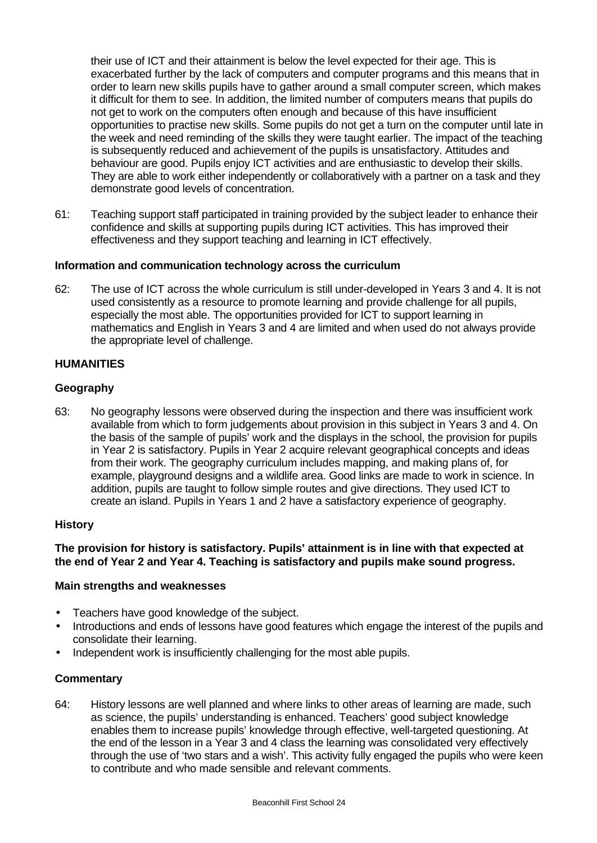their use of ICT and their attainment is below the level expected for their age. This is exacerbated further by the lack of computers and computer programs and this means that in order to learn new skills pupils have to gather around a small computer screen, which makes it difficult for them to see. In addition, the limited number of computers means that pupils do not get to work on the computers often enough and because of this have insufficient opportunities to practise new skills. Some pupils do not get a turn on the computer until late in the week and need reminding of the skills they were taught earlier. The impact of the teaching is subsequently reduced and achievement of the pupils is unsatisfactory. Attitudes and behaviour are good. Pupils enjoy ICT activities and are enthusiastic to develop their skills. They are able to work either independently or collaboratively with a partner on a task and they demonstrate good levels of concentration.

61: Teaching support staff participated in training provided by the subject leader to enhance their confidence and skills at supporting pupils during ICT activities. This has improved their effectiveness and they support teaching and learning in ICT effectively.

## **Information and communication technology across the curriculum**

62: The use of ICT across the whole curriculum is still under-developed in Years 3 and 4. It is not used consistently as a resource to promote learning and provide challenge for all pupils, especially the most able. The opportunities provided for ICT to support learning in mathematics and English in Years 3 and 4 are limited and when used do not always provide the appropriate level of challenge.

#### **HUMANITIES**

#### **Geography**

63: No geography lessons were observed during the inspection and there was insufficient work available from which to form judgements about provision in this subject in Years 3 and 4. On the basis of the sample of pupils' work and the displays in the school, the provision for pupils in Year 2 is satisfactory. Pupils in Year 2 acquire relevant geographical concepts and ideas from their work. The geography curriculum includes mapping, and making plans of, for example, playground designs and a wildlife area. Good links are made to work in science. In addition, pupils are taught to follow simple routes and give directions. They used ICT to create an island. Pupils in Years 1 and 2 have a satisfactory experience of geography.

#### **History**

## **The provision for history is satisfactory. Pupils' attainment is in line with that expected at the end of Year 2 and Year 4. Teaching is satisfactory and pupils make sound progress.**

#### **Main strengths and weaknesses**

- Teachers have good knowledge of the subject.
- Introductions and ends of lessons have good features which engage the interest of the pupils and consolidate their learning.
- Independent work is insufficiently challenging for the most able pupils.

## **Commentary**

64: History lessons are well planned and where links to other areas of learning are made, such as science, the pupils' understanding is enhanced. Teachers' good subject knowledge enables them to increase pupils' knowledge through effective, well-targeted questioning. At the end of the lesson in a Year 3 and 4 class the learning was consolidated very effectively through the use of 'two stars and a wish'. This activity fully engaged the pupils who were keen to contribute and who made sensible and relevant comments.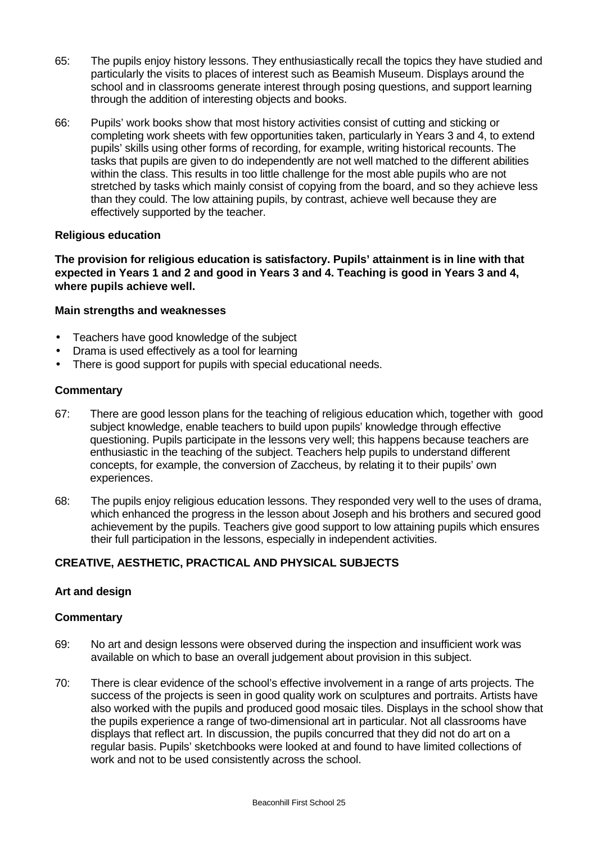- 65: The pupils enjoy history lessons. They enthusiastically recall the topics they have studied and particularly the visits to places of interest such as Beamish Museum. Displays around the school and in classrooms generate interest through posing questions, and support learning through the addition of interesting objects and books.
- 66: Pupils' work books show that most history activities consist of cutting and sticking or completing work sheets with few opportunities taken, particularly in Years 3 and 4, to extend pupils' skills using other forms of recording, for example, writing historical recounts. The tasks that pupils are given to do independently are not well matched to the different abilities within the class. This results in too little challenge for the most able pupils who are not stretched by tasks which mainly consist of copying from the board, and so they achieve less than they could. The low attaining pupils, by contrast, achieve well because they are effectively supported by the teacher.

## **Religious education**

**The provision for religious education is satisfactory. Pupils' attainment is in line with that expected in Years 1 and 2 and good in Years 3 and 4. Teaching is good in Years 3 and 4, where pupils achieve well.**

# **Main strengths and weaknesses**

- Teachers have good knowledge of the subject
- Drama is used effectively as a tool for learning
- There is good support for pupils with special educational needs.

## **Commentary**

- 67: There are good lesson plans for the teaching of religious education which, together with good subject knowledge, enable teachers to build upon pupils' knowledge through effective questioning. Pupils participate in the lessons very well; this happens because teachers are enthusiastic in the teaching of the subject. Teachers help pupils to understand different concepts, for example, the conversion of Zaccheus, by relating it to their pupils' own experiences.
- 68: The pupils enjoy religious education lessons. They responded very well to the uses of drama, which enhanced the progress in the lesson about Joseph and his brothers and secured good achievement by the pupils. Teachers give good support to low attaining pupils which ensures their full participation in the lessons, especially in independent activities.

# **CREATIVE, AESTHETIC, PRACTICAL AND PHYSICAL SUBJECTS**

## **Art and design**

- 69: No art and design lessons were observed during the inspection and insufficient work was available on which to base an overall judgement about provision in this subject.
- 70: There is clear evidence of the school's effective involvement in a range of arts projects. The success of the projects is seen in good quality work on sculptures and portraits. Artists have also worked with the pupils and produced good mosaic tiles. Displays in the school show that the pupils experience a range of two-dimensional art in particular. Not all classrooms have displays that reflect art. In discussion, the pupils concurred that they did not do art on a regular basis. Pupils' sketchbooks were looked at and found to have limited collections of work and not to be used consistently across the school.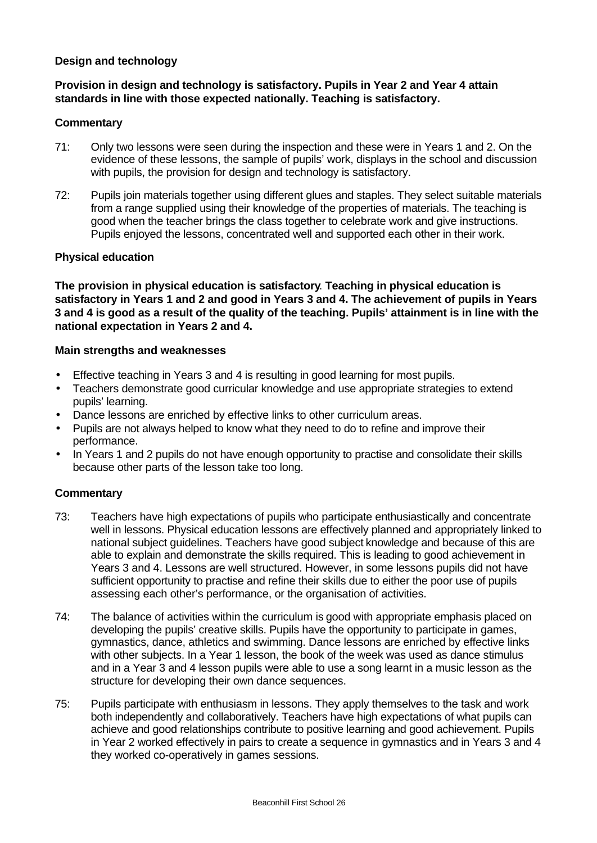# **Design and technology**

# **Provision in design and technology is satisfactory. Pupils in Year 2 and Year 4 attain standards in line with those expected nationally. Teaching is satisfactory.**

#### **Commentary**

- 71: Only two lessons were seen during the inspection and these were in Years 1 and 2. On the evidence of these lessons, the sample of pupils' work, displays in the school and discussion with pupils, the provision for design and technology is satisfactory.
- 72: Pupils join materials together using different glues and staples. They select suitable materials from a range supplied using their knowledge of the properties of materials. The teaching is good when the teacher brings the class together to celebrate work and give instructions. Pupils enjoyed the lessons, concentrated well and supported each other in their work.

#### **Physical education**

**The provision in physical education is satisfactory**. **Teaching in physical education is satisfactory in Years 1 and 2 and good in Years 3 and 4. The achievement of pupils in Years 3 and 4 is good as a result of the quality of the teaching. Pupils' attainment is in line with the national expectation in Years 2 and 4.**

#### **Main strengths and weaknesses**

- Effective teaching in Years 3 and 4 is resulting in good learning for most pupils.
- Teachers demonstrate good curricular knowledge and use appropriate strategies to extend pupils' learning.
- Dance lessons are enriched by effective links to other curriculum areas.
- Pupils are not always helped to know what they need to do to refine and improve their performance.
- In Years 1 and 2 pupils do not have enough opportunity to practise and consolidate their skills because other parts of the lesson take too long.

- 73: Teachers have high expectations of pupils who participate enthusiastically and concentrate well in lessons. Physical education lessons are effectively planned and appropriately linked to national subject guidelines. Teachers have good subject knowledge and because of this are able to explain and demonstrate the skills required. This is leading to good achievement in Years 3 and 4. Lessons are well structured. However, in some lessons pupils did not have sufficient opportunity to practise and refine their skills due to either the poor use of pupils assessing each other's performance, or the organisation of activities.
- 74: The balance of activities within the curriculum is good with appropriate emphasis placed on developing the pupils' creative skills. Pupils have the opportunity to participate in games, gymnastics, dance, athletics and swimming. Dance lessons are enriched by effective links with other subjects. In a Year 1 lesson, the book of the week was used as dance stimulus and in a Year 3 and 4 lesson pupils were able to use a song learnt in a music lesson as the structure for developing their own dance sequences.
- 75: Pupils participate with enthusiasm in lessons. They apply themselves to the task and work both independently and collaboratively. Teachers have high expectations of what pupils can achieve and good relationships contribute to positive learning and good achievement. Pupils in Year 2 worked effectively in pairs to create a sequence in gymnastics and in Years 3 and 4 they worked co-operatively in games sessions.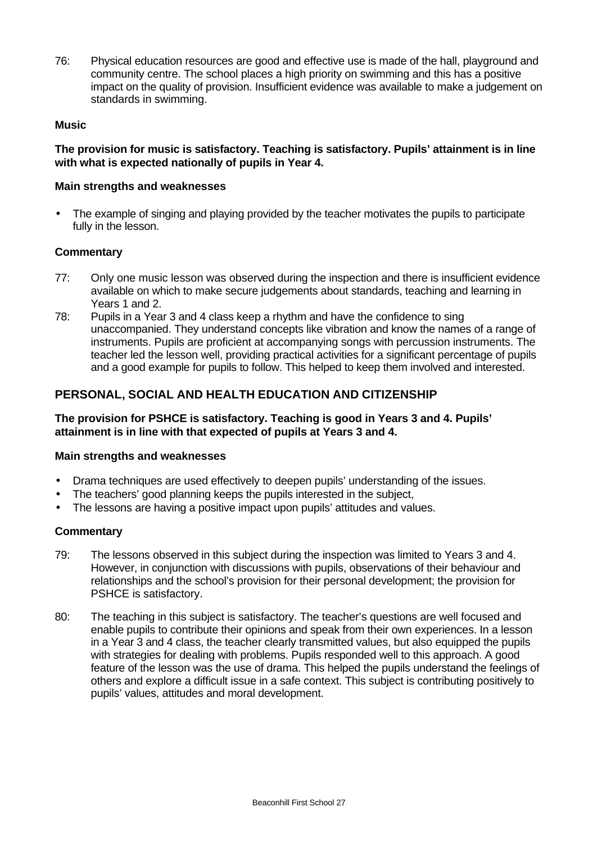76: Physical education resources are good and effective use is made of the hall, playground and community centre. The school places a high priority on swimming and this has a positive impact on the quality of provision. Insufficient evidence was available to make a judgement on standards in swimming.

# **Music**

**The provision for music is satisfactory. Teaching is satisfactory. Pupils' attainment is in line with what is expected nationally of pupils in Year 4.**

#### **Main strengths and weaknesses**

• The example of singing and playing provided by the teacher motivates the pupils to participate fully in the lesson.

#### **Commentary**

- 77: Only one music lesson was observed during the inspection and there is insufficient evidence available on which to make secure judgements about standards, teaching and learning in Years 1 and 2.
- 78: Pupils in a Year 3 and 4 class keep a rhythm and have the confidence to sing unaccompanied. They understand concepts like vibration and know the names of a range of instruments. Pupils are proficient at accompanying songs with percussion instruments. The teacher led the lesson well, providing practical activities for a significant percentage of pupils and a good example for pupils to follow. This helped to keep them involved and interested.

# **PERSONAL, SOCIAL AND HEALTH EDUCATION AND CITIZENSHIP**

# **The provision for PSHCE is satisfactory. Teaching is good in Years 3 and 4. Pupils' attainment is in line with that expected of pupils at Years 3 and 4.**

#### **Main strengths and weaknesses**

- Drama techniques are used effectively to deepen pupils' understanding of the issues.
- The teachers' good planning keeps the pupils interested in the subject,
- The lessons are having a positive impact upon pupils' attitudes and values.

- 79: The lessons observed in this subject during the inspection was limited to Years 3 and 4. However, in conjunction with discussions with pupils, observations of their behaviour and relationships and the school's provision for their personal development; the provision for PSHCE is satisfactory.
- 80: The teaching in this subject is satisfactory. The teacher's questions are well focused and enable pupils to contribute their opinions and speak from their own experiences. In a lesson in a Year 3 and 4 class, the teacher clearly transmitted values, but also equipped the pupils with strategies for dealing with problems. Pupils responded well to this approach. A good feature of the lesson was the use of drama. This helped the pupils understand the feelings of others and explore a difficult issue in a safe context. This subject is contributing positively to pupils' values, attitudes and moral development.